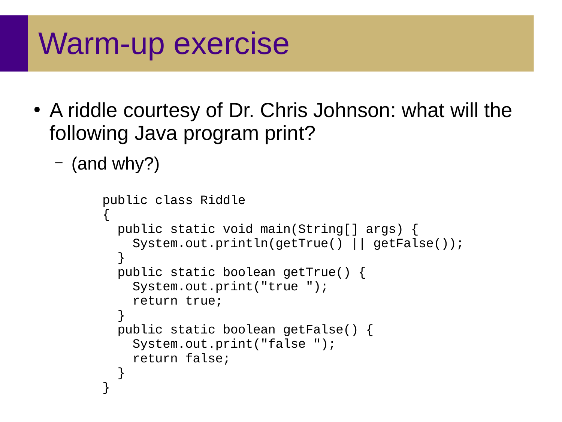### Warm-up exercise

- A riddle courtesy of Dr. Chris Johnson: what will the following Java program print?
	- (and why?)

```
public class Riddle
\{ public static void main(String[] args) {
    System.out.println(getTrue() || getFalse());
   }
   public static boolean getTrue() {
     System.out.print("true ");
     return true;
 }
   public static boolean getFalse() {
     System.out.print("false ");
     return false;
 }
}
```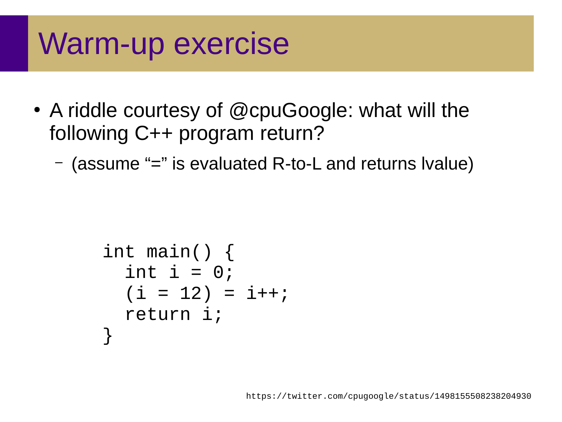# Warm-up exercise

- A riddle courtesy of @cpuGoogle: what will the following C++ program return?
	- (assume "=" is evaluated R-to-L and returns lvalue)

```
int main() {
  int i = 0;
  (i = 12) = i++; return i;
}
```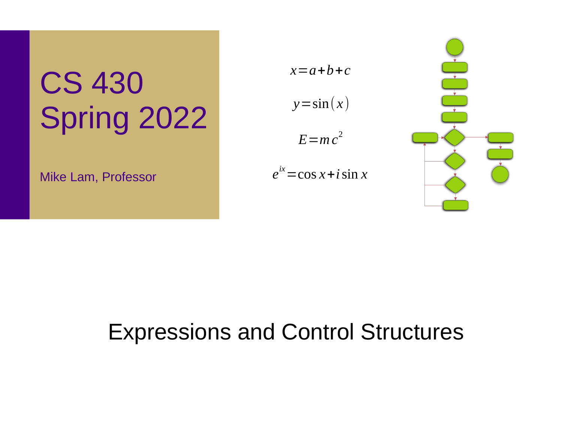# CS 430 Spring 2022

Mike Lam, Professor



 $e^{ix}$  = cos *x* + *i* sin *x* 



### Expressions and Control Structures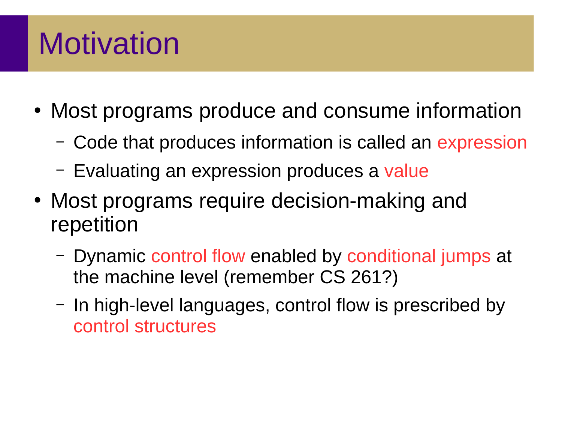# Motivation

- Most programs produce and consume information
	- Code that produces information is called an expression
	- Evaluating an expression produces a value
- Most programs require decision-making and repetition
	- Dynamic control flow enabled by conditional jumps at the machine level (remember CS 261?)
	- In high-level languages, control flow is prescribed by control structures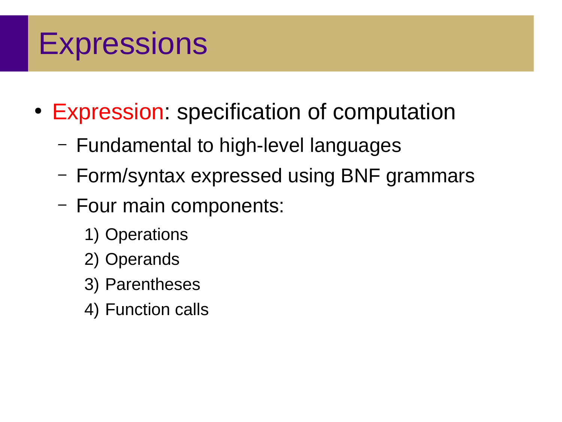- Expression: specification of computation
	- Fundamental to high-level languages
	- Form/syntax expressed using BNF grammars
	- Four main components:
		- 1) Operations
		- 2) Operands
		- 3) Parentheses
		- 4) Function calls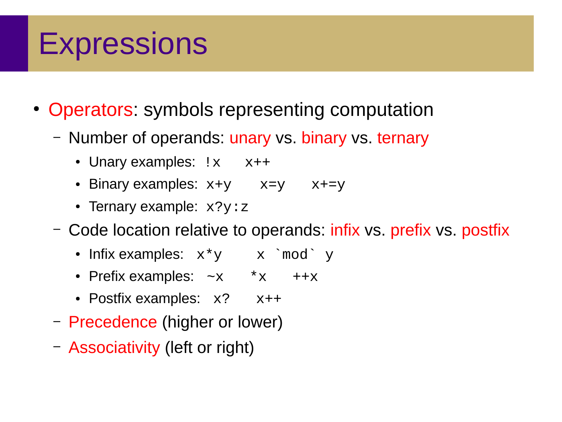- Operators: symbols representing computation
	- Number of operands: unary vs. binary vs. ternary
		- Unary examples:  $1 \times x$   $x++$
		- Binary examples:  $x+y$   $x=y$   $x+z$
		- Ternary example: x?y:z
	- Code location relative to operands: infix vs. prefix vs. postfix
		- Infix examples:  $x*y$   $x$  `mod` y
		- Prefix examples:  $\sim$ x  $\star$ x ++x
		- Postfix examples:  $x$ ?  $x$ ++
	- Precedence (higher or lower)
	- Associativity (left or right)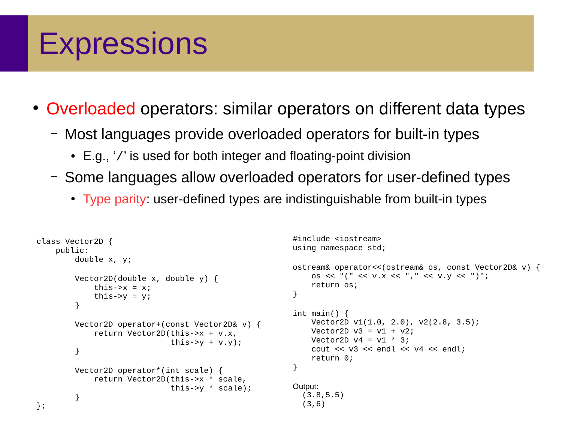• Overloaded operators: similar operators on different data types

- Most languages provide overloaded operators for built-in types
	- E.g., '/' is used for both integer and floating-point division
- Some languages allow overloaded operators for user-defined types
	- Type parity: user-defined types are indistinguishable from built-in types

```
class Vector2D {
        public:
              double x, y;
              Vector2D(double x, double y) {
                    this->x = x;this->y = y;<br>}
 }
              Vector2D operator+(const Vector2D& v) {
                     return Vector2D(this->x + v.x,
              this->y + v.y);
 }
              Vector2D operator*(int scale) {
                     return Vector2D(this->x * scale,
                                                this->y * scale);
               }
};
                                                                                           #include <iostream>
                                                                                           using namespace std;
                                                                                          ostream& operator<<(ostream& os, const Vector2D& v) {
                                                                                                 0S \leq \mathbb{I} \left( \mathbb{I} \right) \leq \mathbb{I} \left( \mathbb{I} \right) \leq \mathbb{I} \left( \mathbb{I} \right) \leq \mathbb{I} \left( \mathbb{I} \right) \leq \mathbb{I} \left( \mathbb{I} \right) \leq \mathbb{I} \left( \mathbb{I} \right) \leq \mathbb{I} \left( \mathbb{I} \right) \leq \mathbb{I} \left( \mathbb{I} \right) \leq \mathbb{I} \left( \mathbb{I} \right) \leq \mathbb{I} \left( \mathbb{I} \right) \leq \mathbb{I return os;
                                                                                           }
                                                                                           int main() {
                                                                                                  Vector2D v1(1.0, 2.0), v2(2.8, 3.5);
                                                                                                 Vector2D v3 = v1 + v2;
                                                                                                 Vector2D v4 = v1 * 3;
                                                                                                 cout \ll \vee3 \ll endl \ll \vee4 \ll endl;
                                                                                                  return 0;
                                                                                           }
                                                                                           Output:
                                                                                               (3.8,5.5)
                                                                                               (3,6)
```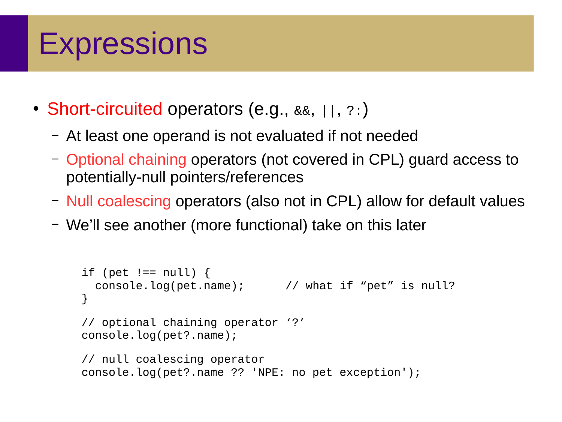- Short-circuited operators (e.g., &&, ||, ?:)
	- At least one operand is not evaluated if not needed
	- Optional chaining operators (not covered in CPL) guard access to potentially-null pointers/references
	- Null coalescing operators (also not in CPL) allow for default values
	- We'll see another (more functional) take on this later

```
if (pet != null) {
   console.log(pet.name); // what if "pet" is null?
}
// optional chaining operator '?'
console.log(pet?.name);
// null coalescing operator
console.log(pet?.name ?? 'NPE: no pet exception');
```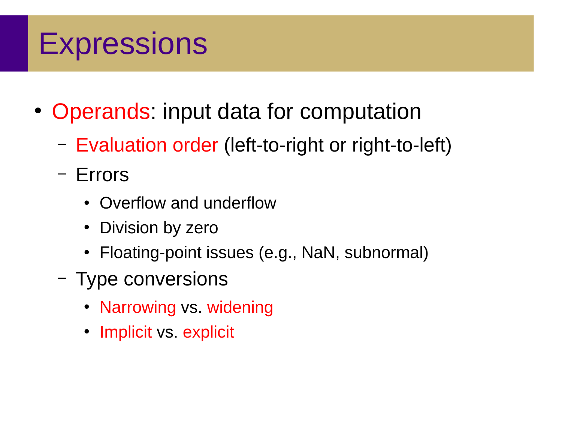- Operands: input data for computation
	- Evaluation order (left-to-right or right-to-left)
	- Errors
		- Overflow and underflow
		- Division by zero
		- Floating-point issues (e.g., NaN, subnormal)
	- Type conversions
		- Narrowing vs. widening
		- Implicit vs. explicit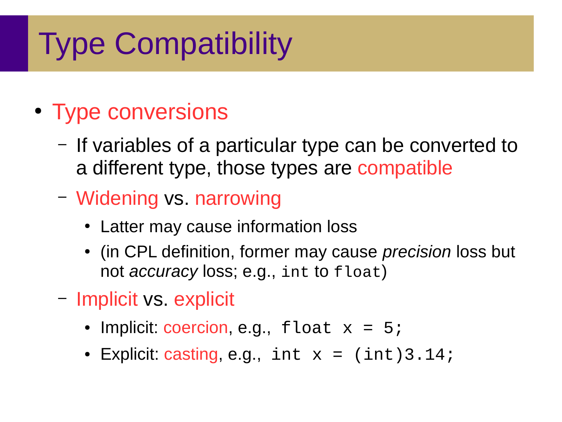# Type Compatibility

### • Type conversions

- If variables of a particular type can be converted to a different type, those types are compatible
- Widening vs. narrowing
	- Latter may cause information loss
	- (in CPL definition, former may cause *precision* loss but not *accuracy* loss; e.g., int to float)
- Implicit vs. explicit
	- Implicit: coercion, e.g.,  $f$ loat  $x = 5$ ;
	- Explicit: casting, e.g.,  $int x = (int)3.14;$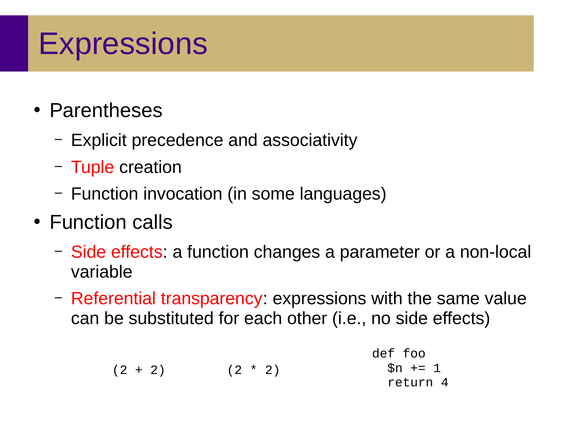- Parentheses
	- Explicit precedence and associativity
	- Tuple creation
	- Function invocation (in some languages)
- Function calls
	- Side effects: a function changes a parameter or a non-local variable
	- Referential transparency: expressions with the same value can be substituted for each other (i.e., no side effects)

$$
(2 + 2)
$$
   
  $(2 * 2)$    
  $6n +1$    
  $1$    
  $1$    
  $1$    
  $1$    
  $1$    
  $1$    
  $1$    
  $1$    
  $1$    
  $1$    
  $1$    
  $1$    
  $1$    
  $1$    
  $1$    
  $1$    
  $1$    
  $1$    
  $1$    
  $1$    
  $1$    
  $1$    
  $1$    
  $1$    
  $1$    
  $1$    
  $1$    
  $1$    
  $1$    
  $1$    
  $1$    
  $1$    
  $1$    
  $1$    
  $1$    
  $1$    
  $1$    
  $1$    
  $1$    
  $1$    
  $1$    
  $1$    
  $1$    
  $1$    
  $1$    
  $1$    
  $1$    
  $1$    
  $1$    
  $1$    
  $1$    
  $1$    
  $1$    
  $1$    
  $1$    
  $1$    
  $1$    
  $1$    
  $1$    
  $1$    
  $1$    
  $1$    
  $1$    
  $1$    
  $1$    
  $1$    
  $1$    
  $1$    
  $1$    
  $1$    
  $1$    
  $1$    
  $1$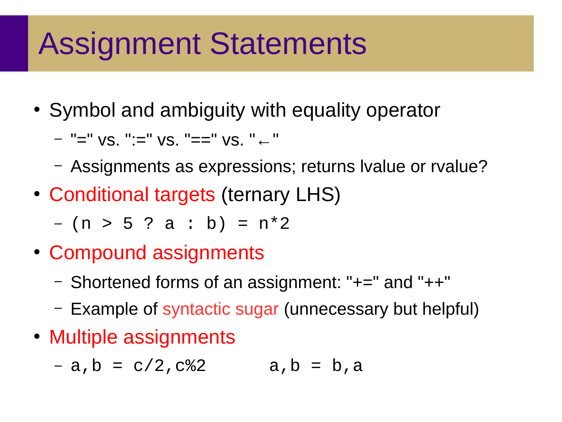# Assignment Statements

• Symbol and ambiguity with equality operator

– "=" vs. ":=" vs. "==" vs. "←"

- Assignments as expressions; returns lvalue or rvalue?
- Conditional targets (ternary LHS)

– (n > 5 ? a : b) = n\*2

- Compound assignments
	- Shortened forms of an assignment: "+=" and "++"
	- Example of syntactic sugar (unnecessary but helpful)
- Multiple assignments

 $-$  a, b = c/2, c%2 a, b = b, a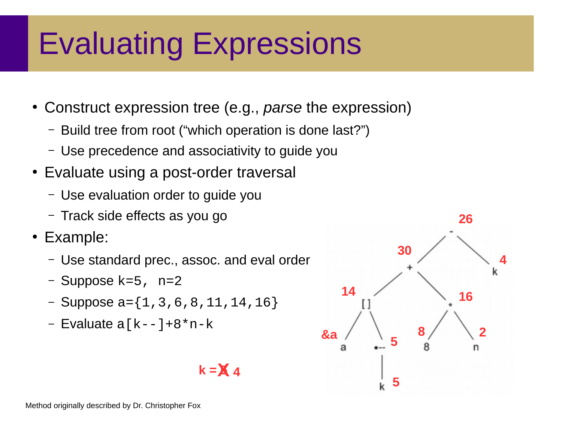# Evaluating Expressions

- Construct expression tree (e.g., *parse* the expression)
	- Build tree from root ("which operation is done last?")
	- Use precedence and associativity to guide you
- Evaluate using a post-order traversal
	- Use evaluation order to guide you
	- Track side effects as you go
- Example:
	- Use standard prec., assoc. and eval order
	- Suppose  $k=5$ , n=2
	- $-$  Suppose  $a = \{1, 3, 6, 8, 11, 14, 16\}$
	- Evaluate  $a[k-1]+8*n-k$

#### $k = X_4$

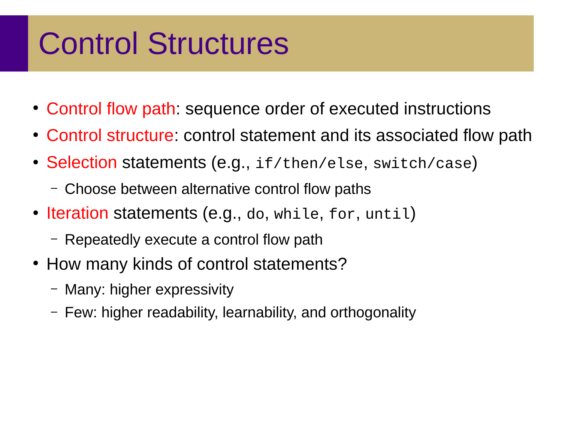# Control Structures

- Control flow path: sequence order of executed instructions
- Control structure: control statement and its associated flow path
- Selection statements (e.g., if/then/else, switch/case)
	- Choose between alternative control flow paths
- Iteration statements (e.g., do, while, for, until)
	- Repeatedly execute a control flow path
- How many kinds of control statements?
	- Many: higher expressivity
	- Few: higher readability, learnability, and orthogonality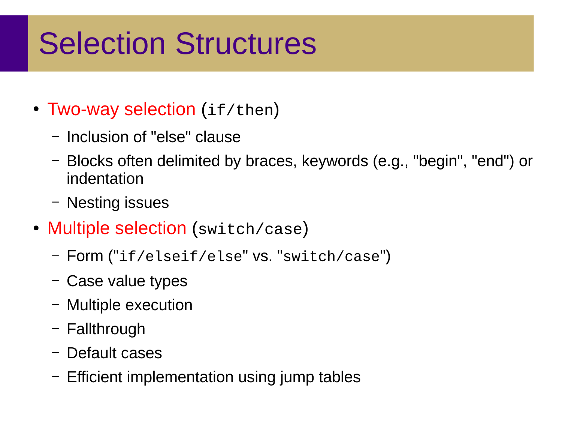# Selection Structures

- Two-way selection (if/then)
	- Inclusion of "else" clause
	- Blocks often delimited by braces, keywords (e.g., "begin", "end") or indentation
	- Nesting issues
- Multiple selection (switch/case)
	- Form ("if/elseif/else" vs. "switch/case")
	- Case value types
	- Multiple execution
	- Fallthrough
	- Default cases
	- Efficient implementation using jump tables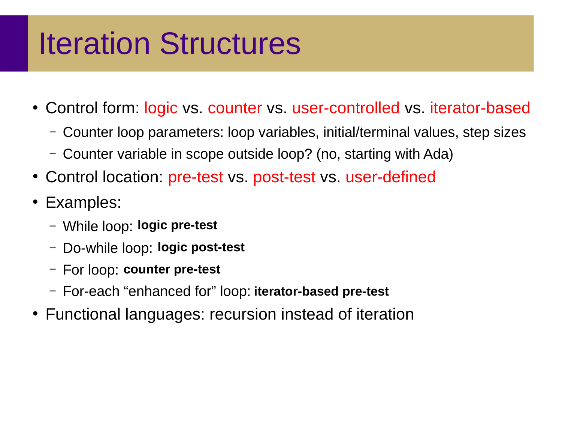# Iteration Structures

- Control form: logic vs. counter vs. user-controlled vs. iterator-based
	- Counter loop parameters: loop variables, initial/terminal values, step sizes
	- Counter variable in scope outside loop? (no, starting with Ada)
- Control location: pre-test vs. post-test vs. user-defined
- Examples:
	- While loop: **logic pre-test**
	- Do-while loop: **logic post-test**
	- For loop: **counter pre-test**
	- For-each "enhanced for" loop: **iterator-based pre-test**
- Functional languages: recursion instead of iteration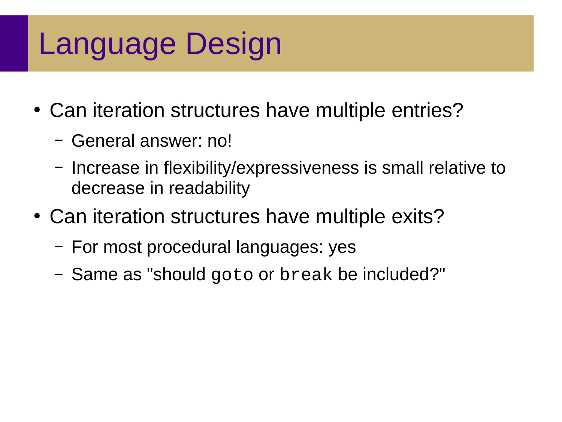# Language Design

- Can iteration structures have multiple entries?
	- General answer: no!
	- Increase in flexibility/expressiveness is small relative to decrease in readability
- Can iteration structures have multiple exits?
	- For most procedural languages: yes
	- Same as "should goto or break be included?"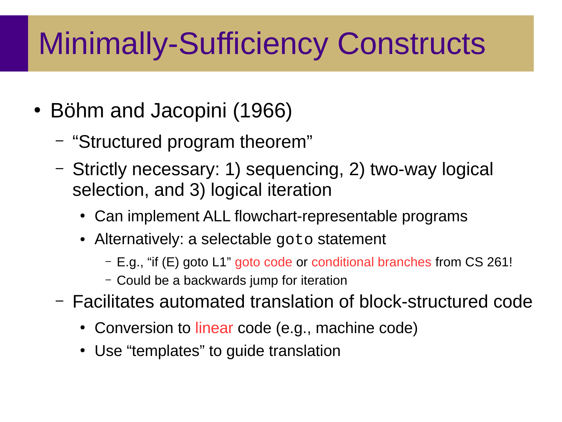- Böhm and Jacopini (1966)
	- "Structured program theorem"
	- Strictly necessary: 1) sequencing, 2) two-way logical selection, and 3) logical iteration
		- Can implement ALL flowchart-representable programs
		- Alternatively: a selectable goto statement
			- E.g., "if (E) goto L1" goto code or conditional branches from CS 261!
			- Could be a backwards jump for iteration
	- Facilitates automated translation of block-structured code
		- Conversion to linear code (e.g., machine code)
		- Use "templates" to quide translation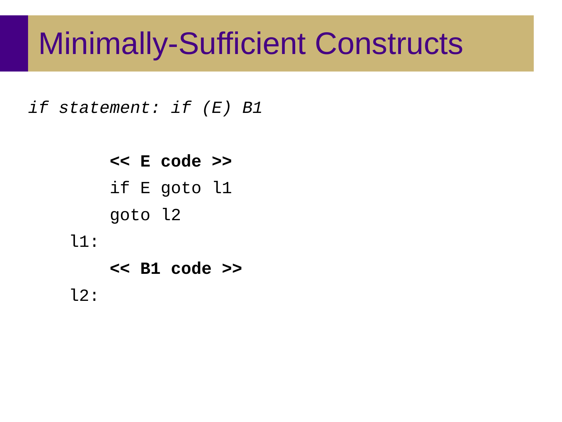*if statement: if (E) B1*

 **<< E code >>** if E goto l1 goto l2 l1:  **<< B1 code >>** l2: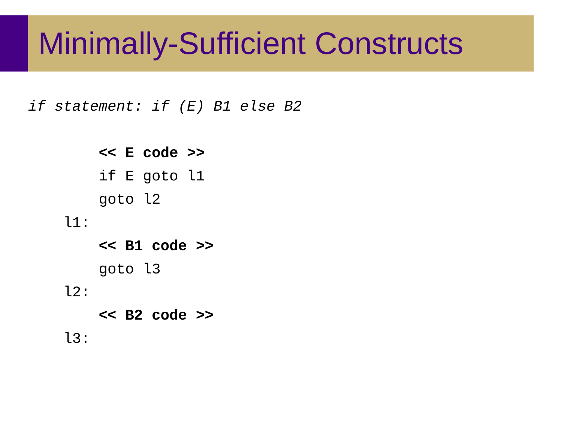*if statement: if (E) B1 else B2*

 **<< E code >>** if E goto l1 goto l2 l1:  **<< B1 code >>** goto l3 l2:  **<< B2 code >>**

l3: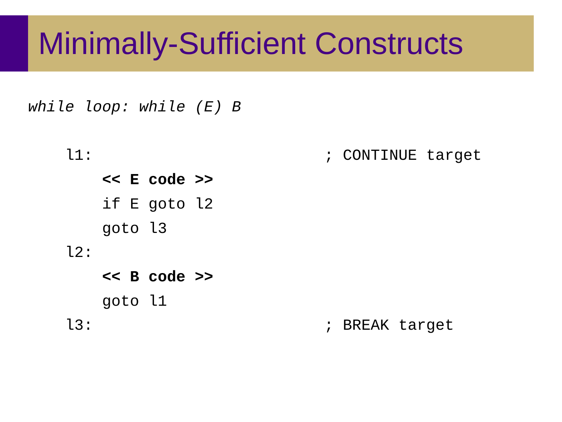*while loop: while (E) B*

l1:  $\qquad \qquad ;$  CONTINUE target  **<< E code >>** if E goto l2 goto l3 l2:  **<< B code >>** goto l1 l3:  $\qquad \qquad ;$  BREAK target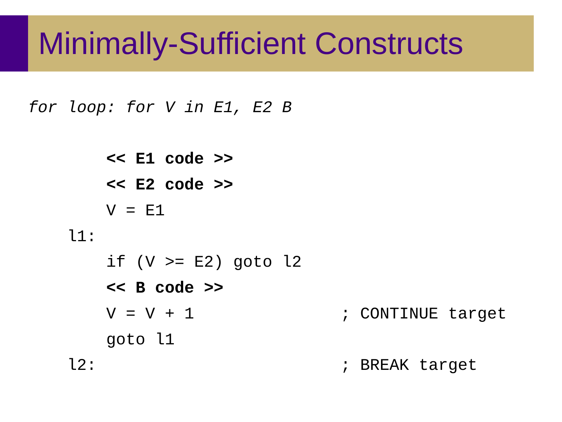*for loop: for V in E1, E2 B*

```
 << E1 code >>
    << E2 code >>
   V = F1 l1:
   if (V >= E2) goto l2
    << B code >>
   V = V + 1 ; CONTINUE target
    goto l1
l2: ; BREAK target
```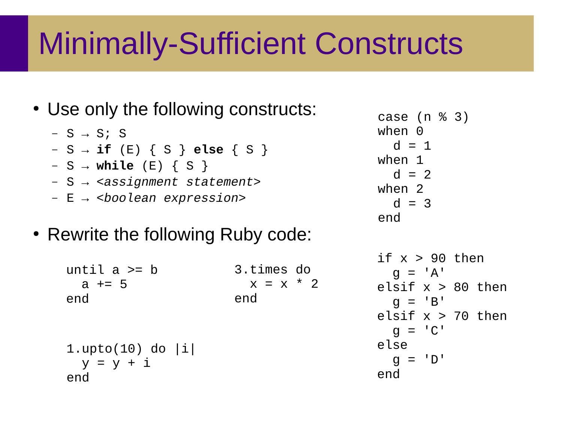• Use only the following constructs:

– S → S; S – S → **if** (E) { S } **else** { S } – S → **while** (E) { S }

- S → *<assignment statement>*
- E → *<boolean expression>*
- Rewrite the following Ruby code:

3.times do until a >= b  $x = x * 2$ end  $a + = 5$ end 1.upto(10) do |i|  $y = y + i$ end

if  $x > 90$  then  $q = 'A'$ elsif  $x > 80$  then  $q = 'B'$ elsif  $x > 70$  then  $q = 'C'$ else  $q = 'D'$ end case (n % 3)  $when 0$  $d = 1$ when 1  $d = 2$ when 2  $d = 3$ end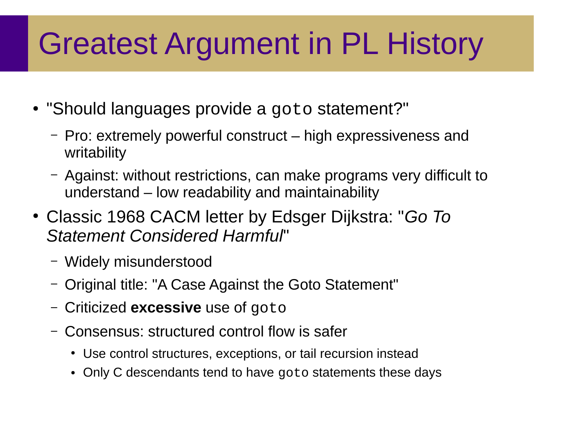# Greatest Argument in PL History

- "Should languages provide a goto statement?"
	- Pro: extremely powerful construct high expressiveness and writability
	- Against: without restrictions, can make programs very difficult to understand – low readability and maintainability
- Classic 1968 CACM letter by Edsger Dijkstra: "*Go To Statement Considered Harmful*"
	- Widely misunderstood
	- Original title: "A Case Against the Goto Statement"
	- Criticized **excessive** use of goto
	- Consensus: structured control flow is safer
		- Use control structures, exceptions, or tail recursion instead
		- Only C descendants tend to have goto statements these days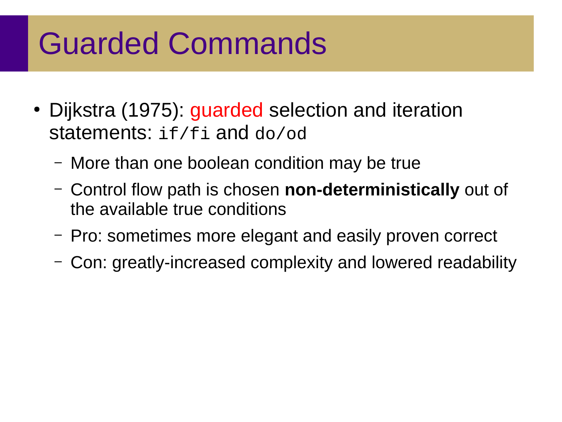# Guarded Commands

- Dijkstra (1975): guarded selection and iteration statements: if/fi and do/od
	- More than one boolean condition may be true
	- Control flow path is chosen **non-deterministically** out of the available true conditions
	- Pro: sometimes more elegant and easily proven correct
	- Con: greatly-increased complexity and lowered readability